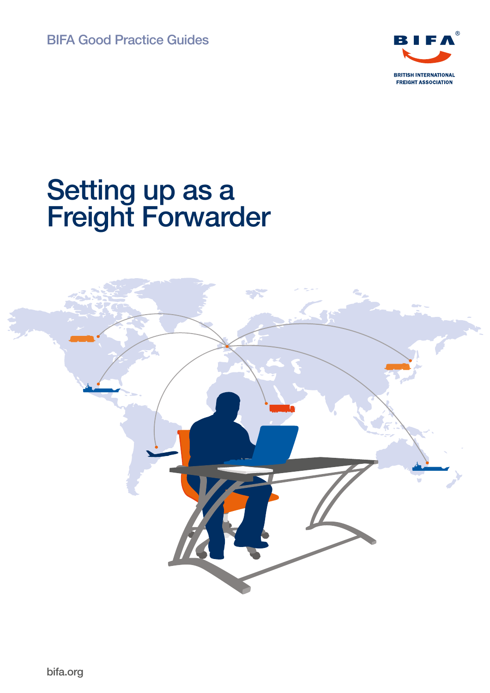

# Setting up as a Freight Forwarder